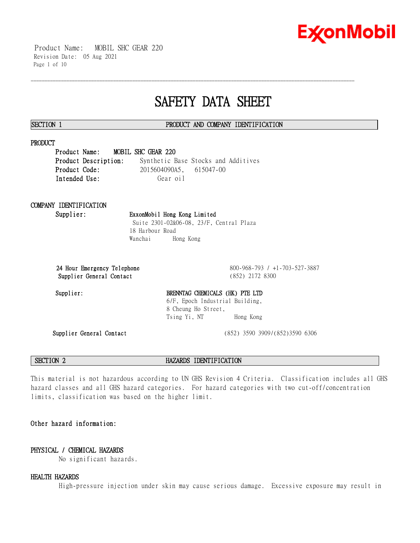

 Product Name: MOBIL SHC GEAR 220 Revision Date: 05 Aug 2021 Page 1 of 10

# **SAFETY DATA SHEET**

\_\_\_\_\_\_\_\_\_\_\_\_\_\_\_\_\_\_\_\_\_\_\_\_\_\_\_\_\_\_\_\_\_\_\_\_\_\_\_\_\_\_\_\_\_\_\_\_\_\_\_\_\_\_\_\_\_\_\_\_\_\_\_\_\_\_\_\_\_\_\_\_\_\_\_\_\_\_\_\_\_\_\_\_\_\_\_\_\_\_\_\_\_\_\_\_\_\_\_\_\_\_\_\_\_\_\_\_\_\_\_\_\_\_\_\_\_\_

### **SECTION 1 PRODUCT AND COMPANY IDENTIFICATION**

### **PRODUCT**

**Product Name: MOBIL SHC GEAR 220 Product Description:** Synthetic Base Stocks and Additives **Product Code:** 2015604090A5, 615047-00 Intended Use: Gear oil

# **COMPANY IDENTIFICATION**

### **Supplier: ExxonMobil Hong Kong Limited** Suite 2301-02&06-08, 23/F, Central Plaza 18 Harbour Road

Wanchai Hong Kong

**24 Hour Emergency Telephone** 800-968-793 / +1-703-527-3887 **Supplier General Contact** (852) 2172 8300

# Supplier: BRENNTAG CHEMICALS (HK) PTE LTD 6/F, Epoch Industrial Building, 8 Cheung Ho Street, Tsing Yi, NT Hong Kong

**Supplier General Contact** (852) 3590 3909/(852)3590 6306

**SECTION 2 HAZARDS IDENTIFICATION**

This material is not hazardous according to UN GHS Revision 4 Criteria. Classification includes all GHS hazard classes and all GHS hazard categories. For hazard categories with two cut-off/concentration limits, classification was based on the higher limit.

# **Other hazard information:**

# **PHYSICAL / CHEMICAL HAZARDS**

No significant hazards.

## **HEALTH HAZARDS**

High-pressure injection under skin may cause serious damage. Excessive exposure may result in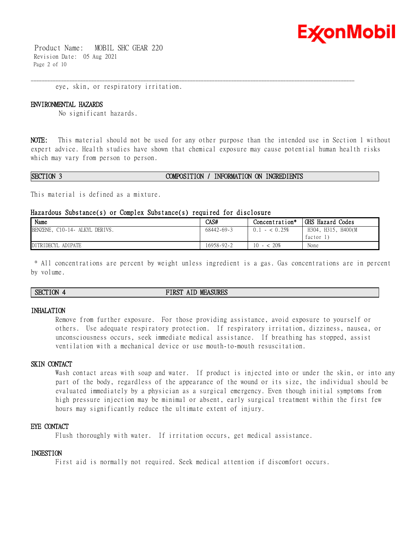

 Product Name: MOBIL SHC GEAR 220 Revision Date: 05 Aug 2021 Page 2 of 10

eye, skin, or respiratory irritation.

#### **ENVIRONMENTAL HAZARDS**

No significant hazards.

**NOTE:** This material should not be used for any other purpose than the intended use in Section 1 without expert advice. Health studies have shown that chemical exposure may cause potential human health risks which may vary from person to person.

\_\_\_\_\_\_\_\_\_\_\_\_\_\_\_\_\_\_\_\_\_\_\_\_\_\_\_\_\_\_\_\_\_\_\_\_\_\_\_\_\_\_\_\_\_\_\_\_\_\_\_\_\_\_\_\_\_\_\_\_\_\_\_\_\_\_\_\_\_\_\_\_\_\_\_\_\_\_\_\_\_\_\_\_\_\_\_\_\_\_\_\_\_\_\_\_\_\_\_\_\_\_\_\_\_\_\_\_\_\_\_\_\_\_\_\_\_\_

#### **SECTION 3 COMPOSITION / INFORMATION ON INGREDIENTS**

This material is defined as a mixture.

#### **Hazardous Substance(s) or Complex Substance(s) required for disclosure**

| Name                           | CAS#             | Concentration*        | GHS Hazard Codes   |
|--------------------------------|------------------|-----------------------|--------------------|
| BENZENE, C10-14- ALKYL DERIVS. | $68442 - 69 - 3$ | $-$ < 0.25%<br>(0, 1) | H304, H315, H400(M |
|                                |                  |                       | factor 1           |
| DITRIDECYL ADIPATE             | 16958-92-2       | $-$ < 2.0%<br>10      | None               |

\* All concentrations are percent by weight unless ingredient is a gas. Gas concentrations are in percent by volume.

## **SECTION 4 FIRST AID MEASURES**

#### **INHALATION**

Remove from further exposure. For those providing assistance, avoid exposure to yourself or others. Use adequate respiratory protection. If respiratory irritation, dizziness, nausea, or unconsciousness occurs, seek immediate medical assistance. If breathing has stopped, assist ventilation with a mechanical device or use mouth-to-mouth resuscitation.

# **SKIN CONTACT**

Wash contact areas with soap and water. If product is injected into or under the skin, or into any part of the body, regardless of the appearance of the wound or its size, the individual should be evaluated immediately by a physician as a surgical emergency. Even though initial symptoms from high pressure injection may be minimal or absent, early surgical treatment within the first few hours may significantly reduce the ultimate extent of injury.

### **EYE CONTACT**

Flush thoroughly with water. If irritation occurs, get medical assistance.

#### **INGESTION**

First aid is normally not required. Seek medical attention if discomfort occurs.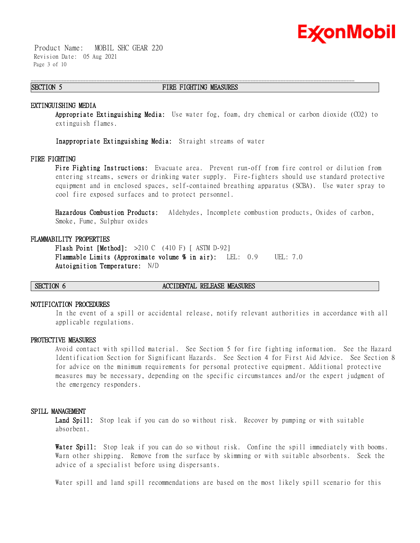

 Product Name: MOBIL SHC GEAR 220 Revision Date: 05 Aug 2021 Page 3 of 10

### **SECTION 5 FIRE FIGHTING MEASURES**

\_\_\_\_\_\_\_\_\_\_\_\_\_\_\_\_\_\_\_\_\_\_\_\_\_\_\_\_\_\_\_\_\_\_\_\_\_\_\_\_\_\_\_\_\_\_\_\_\_\_\_\_\_\_\_\_\_\_\_\_\_\_\_\_\_\_\_\_\_\_\_\_\_\_\_\_\_\_\_\_\_\_\_\_\_\_\_\_\_\_\_\_\_\_\_\_\_\_\_\_\_\_\_\_\_\_\_\_\_\_\_\_\_\_\_\_\_\_

#### **EXTINGUISHING MEDIA**

**Appropriate Extinguishing Media:** Use water fog, foam, dry chemical or carbon dioxide (CO2) to extinguish flames.

**Inappropriate Extinguishing Media:** Straight streams of water

### **FIRE FIGHTING**

**Fire Fighting Instructions:** Evacuate area. Prevent run-off from fire control or dilution from entering streams, sewers or drinking water supply. Fire-fighters should use standard protective equipment and in enclosed spaces, self-contained breathing apparatus (SCBA). Use water spray to cool fire exposed surfaces and to protect personnel.

**Hazardous Combustion Products:** Aldehydes, Incomplete combustion products, Oxides of carbon, Smoke, Fume, Sulphur oxides

#### **FLAMMABILITY PROPERTIES**

**Flash Point [Method]:** >210 C (410 F) [ ASTM D-92] **Flammable Limits (Approximate volume % in air):** LEL: 0.9 UEL: 7.0 **Autoignition Temperature:** N/D

#### **SECTION 6 ACCIDENTAL RELEASE MEASURES**

#### **NOTIFICATION PROCEDURES**

In the event of a spill or accidental release, notify relevant authorities in accordance with all applicable regulations.

#### **PROTECTIVE MEASURES**

Avoid contact with spilled material. See Section 5 for fire fighting information. See the Hazard Identification Section for Significant Hazards. See Section 4 for First Aid Advice. See Section 8 for advice on the minimum requirements for personal protective equipment. Additional protective measures may be necessary, depending on the specific circumstances and/or the expert judgment of the emergency responders.

#### **SPILL MANAGEMENT**

Land Spill: Stop leak if you can do so without risk. Recover by pumping or with suitable absorbent.

**Water Spill:** Stop leak if you can do so without risk. Confine the spill immediately with booms. Warn other shipping. Remove from the surface by skimming or with suitable absorbents. Seek the advice of a specialist before using dispersants.

Water spill and land spill recommendations are based on the most likely spill scenario for this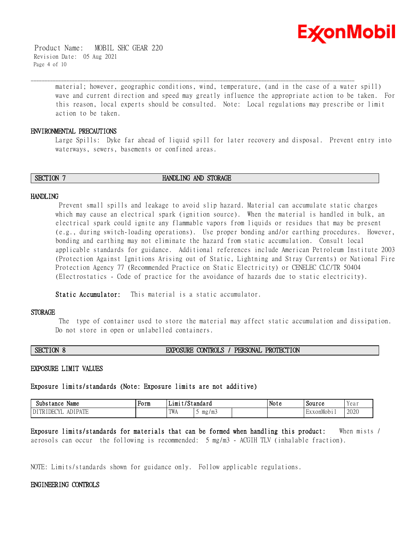

 Product Name: MOBIL SHC GEAR 220 Revision Date: 05 Aug 2021 Page 4 of 10

> material; however, geographic conditions, wind, temperature, (and in the case of a water spill) wave and current direction and speed may greatly influence the appropriate action to be taken. For this reason, local experts should be consulted. Note: Local regulations may prescribe or limit action to be taken.

### **ENVIRONMENTAL PRECAUTIONS**

Large Spills: Dyke far ahead of liquid spill for later recovery and disposal. Prevent entry into waterways, sewers, basements or confined areas.

**SECTION 7 HANDLING AND STORAGE** 

\_\_\_\_\_\_\_\_\_\_\_\_\_\_\_\_\_\_\_\_\_\_\_\_\_\_\_\_\_\_\_\_\_\_\_\_\_\_\_\_\_\_\_\_\_\_\_\_\_\_\_\_\_\_\_\_\_\_\_\_\_\_\_\_\_\_\_\_\_\_\_\_\_\_\_\_\_\_\_\_\_\_\_\_\_\_\_\_\_\_\_\_\_\_\_\_\_\_\_\_\_\_\_\_\_\_\_\_\_\_\_\_\_\_\_\_\_\_

### **HANDLING**

Prevent small spills and leakage to avoid slip hazard. Material can accumulate static charges which may cause an electrical spark (ignition source). When the material is handled in bulk, an electrical spark could ignite any flammable vapors from liquids or residues that may be present (e.g., during switch-loading operations). Use proper bonding and/or earthing procedures. However, bonding and earthing may not eliminate the hazard from static accumulation. Consult local applicable standards for guidance. Additional references include American Petroleum Institute 2003 (Protection Against Ignitions Arising out of Static, Lightning and Stray Currents) or National Fire Protection Agency 77 (Recommended Practice on Static Electricity) or CENELEC CLC/TR 50404 (Electrostatics - Code of practice for the avoidance of hazards due to static electricity).

**Static Accumulator:** This material is a static accumulator.

#### **STORAGE**

The type of container used to store the material may affect static accumulation and dissipation. Do not store in open or unlabelled containers.

# **SECTION 8 EXPOSURE CONTROLS / PERSONAL PROTECTION**

#### **EXPOSURE LIMIT VALUES**

# **Exposure limits/standards (Note: Exposure limits are not additive)**

| Name<br>Substance                            | Form | . .<br>. ட1m+ | standard' | . .<br>Note | Source  | Yeai |
|----------------------------------------------|------|---------------|-----------|-------------|---------|------|
| <b>IDI DATE</b><br>$\bigcap$<br>DEC<br>n i L |      | TWA           | mg/mj     |             | xonMobi | 2020 |

**Exposure limits/standards for materials that can be formed when handling this product:** When mists / aerosols can occur the following is recommended: 5 mg/m3 - ACGIH TLV (inhalable fraction).

NOTE: Limits/standards shown for guidance only. Follow applicable regulations.

### **ENGINEERING CONTROLS**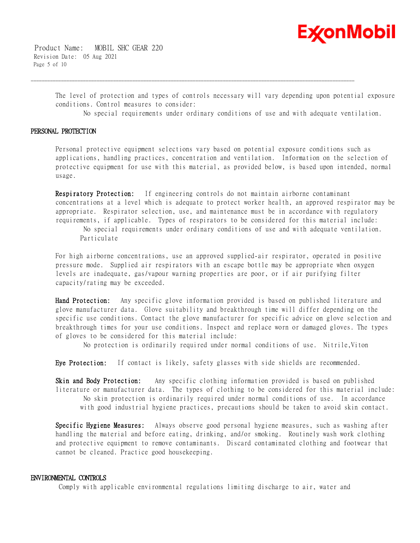

 Product Name: MOBIL SHC GEAR 220 Revision Date: 05 Aug 2021 Page 5 of 10

> The level of protection and types of controls necessary will vary depending upon potential exposure conditions. Control measures to consider:

\_\_\_\_\_\_\_\_\_\_\_\_\_\_\_\_\_\_\_\_\_\_\_\_\_\_\_\_\_\_\_\_\_\_\_\_\_\_\_\_\_\_\_\_\_\_\_\_\_\_\_\_\_\_\_\_\_\_\_\_\_\_\_\_\_\_\_\_\_\_\_\_\_\_\_\_\_\_\_\_\_\_\_\_\_\_\_\_\_\_\_\_\_\_\_\_\_\_\_\_\_\_\_\_\_\_\_\_\_\_\_\_\_\_\_\_\_\_

No special requirements under ordinary conditions of use and with adequate ventilation.

#### **PERSONAL PROTECTION**

Personal protective equipment selections vary based on potential exposure conditions such as applications, handling practices, concentration and ventilation. Information on the selection of protective equipment for use with this material, as provided below, is based upon intended, normal usage.

**Respiratory Protection:** If engineering controls do not maintain airborne contaminant concentrations at a level which is adequate to protect worker health, an approved respirator may be appropriate. Respirator selection, use, and maintenance must be in accordance with regulatory requirements, if applicable. Types of respirators to be considered for this material include:

No special requirements under ordinary conditions of use and with adequate ventilation. Particulate

For high airborne concentrations, use an approved supplied-air respirator, operated in positive pressure mode. Supplied air respirators with an escape bottle may be appropriate when oxygen levels are inadequate, gas/vapour warning properties are poor, or if air purifying filter capacity/rating may be exceeded.

**Hand Protection:** Any specific glove information provided is based on published literature and glove manufacturer data. Glove suitability and breakthrough time will differ depending on the specific use conditions. Contact the glove manufacturer for specific advice on glove selection and breakthrough times for your use conditions. Inspect and replace worn or damaged gloves. The types of gloves to be considered for this material include:

No protection is ordinarily required under normal conditions of use. Nitrile,Viton

**Eye Protection:** If contact is likely, safety glasses with side shields are recommended.

**Skin and Body Protection:** Any specific clothing information provided is based on published literature or manufacturer data. The types of clothing to be considered for this material include: No skin protection is ordinarily required under normal conditions of use. In accordance with good industrial hygiene practices, precautions should be taken to avoid skin contact.

**Specific Hygiene Measures:** Always observe good personal hygiene measures, such as washing after handling the material and before eating, drinking, and/or smoking. Routinely wash work clothing and protective equipment to remove contaminants. Discard contaminated clothing and footwear that cannot be cleaned. Practice good housekeeping.

### **ENVIRONMENTAL CONTROLS**

Comply with applicable environmental regulations limiting discharge to air, water and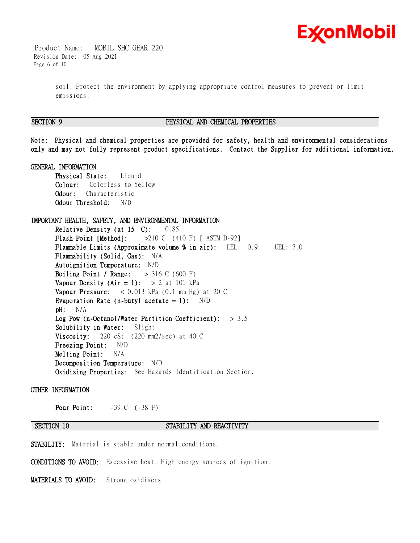

 Product Name: MOBIL SHC GEAR 220 Revision Date: 05 Aug 2021 Page 6 of 10

> soil. Protect the environment by applying appropriate control measures to prevent or limit emissions.

\_\_\_\_\_\_\_\_\_\_\_\_\_\_\_\_\_\_\_\_\_\_\_\_\_\_\_\_\_\_\_\_\_\_\_\_\_\_\_\_\_\_\_\_\_\_\_\_\_\_\_\_\_\_\_\_\_\_\_\_\_\_\_\_\_\_\_\_\_\_\_\_\_\_\_\_\_\_\_\_\_\_\_\_\_\_\_\_\_\_\_\_\_\_\_\_\_\_\_\_\_\_\_\_\_\_\_\_\_\_\_\_\_\_\_\_\_\_

### **SECTION 9 PHYSICAL AND CHEMICAL PROPERTIES**

**Note: Physical and chemical properties are provided for safety, health and environmental considerations only and may not fully represent product specifications. Contact the Supplier for additional information.**

### **GENERAL INFORMATION**

**Physical State:** Liquid **Colour:** Colorless to Yellow **Odour:** Characteristic **Odour Threshold:** N/D

# **IMPORTANT HEALTH, SAFETY, AND ENVIRONMENTAL INFORMATION**

**Relative Density (at 15 C):** 0.85 **Flash Point [Method]:** >210 C (410 F) [ ASTM D-92] **Flammable Limits (Approximate volume % in air):** LEL: 0.9 UEL: 7.0 **Flammability (Solid, Gas):** N/A **Autoignition Temperature:** N/D **Boiling Point / Range:** > 316 C (600 F) **Vapour Density (Air = 1):**  $> 2$  at 101 kPa **Vapour Pressure:** < 0.013 kPa (0.1 mm Hg) at 20 C **Evaporation Rate (n-butyl acetate = 1):** N/D **pH:** N/A **Log Pow (n-Octanol/Water Partition Coefficient):** > 3.5 **Solubility in Water:** Slight **Viscosity:** 220 cSt (220 mm2/sec) at 40 C **Freezing Point:** N/D **Melting Point:** N/A **Decomposition Temperature:** N/D **Oxidizing Properties:** See Hazards Identification Section.

### **OTHER INFORMATION**

**Pour Point:**  $-39 \text{ C}$  ( $-38 \text{ F}$ )

# **SECTION 10 STABILITY AND REACTIVITY**

**STABILITY:** Material is stable under normal conditions.

**CONDITIONS TO AVOID:** Excessive heat. High energy sources of ignition.

**MATERIALS TO AVOID:** Strong oxidisers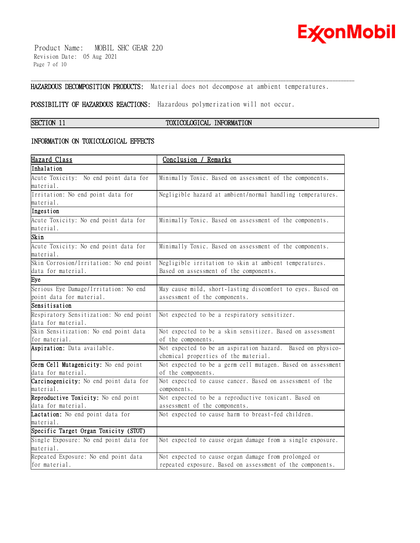

 Product Name: MOBIL SHC GEAR 220 Revision Date: 05 Aug 2021 Page 7 of 10

**HAZARDOUS DECOMPOSITION PRODUCTS:** Material does not decompose at ambient temperatures.

\_\_\_\_\_\_\_\_\_\_\_\_\_\_\_\_\_\_\_\_\_\_\_\_\_\_\_\_\_\_\_\_\_\_\_\_\_\_\_\_\_\_\_\_\_\_\_\_\_\_\_\_\_\_\_\_\_\_\_\_\_\_\_\_\_\_\_\_\_\_\_\_\_\_\_\_\_\_\_\_\_\_\_\_\_\_\_\_\_\_\_\_\_\_\_\_\_\_\_\_\_\_\_\_\_\_\_\_\_\_\_\_\_\_\_\_\_\_

**POSSIBILITY OF HAZARDOUS REACTIONS:** Hazardous polymerization will not occur.

# **SECTION 11 TOXICOLOGICAL INFORMATION**

## **INFORMATION ON TOXICOLOGICAL EFFECTS**

| <u>Hazard Class</u>                     | Conclusion / Remarks                                        |
|-----------------------------------------|-------------------------------------------------------------|
| Inhalation                              |                                                             |
| Acute Toxicity: No end point data for   | Minimally Toxic. Based on assessment of the components.     |
| material.                               |                                                             |
| Irritation: No end point data for       | Negligible hazard at ambient/normal handling temperatures.  |
| material.                               |                                                             |
| Ingestion                               |                                                             |
| Acute Toxicity: No end point data for   | Minimally Toxic. Based on assessment of the components.     |
| material.                               |                                                             |
| Skin                                    |                                                             |
| Acute Toxicity: No end point data for   | Minimally Toxic. Based on assessment of the components.     |
| material.                               |                                                             |
| Skin Corrosion/Irritation: No end point | Negligible irritation to skin at ambient temperatures.      |
| data for material.                      | Based on assessment of the components.                      |
| Eye                                     |                                                             |
| Serious Eye Damage/Irritation: No end   | May cause mild, short-lasting discomfort to eyes. Based on  |
| point data for material.                | assessment of the components.                               |
| Sensitisation                           |                                                             |
| Respiratory Sensitization: No end point | Not expected to be a respiratory sensitizer.                |
| data for material.                      |                                                             |
| Skin Sensitization: No end point data   | Not expected to be a skin sensitizer. Based on assessment   |
| for material.                           | of the components.                                          |
| Aspiration: Data available.             | Not expected to be an aspiration hazard. Based on physico-  |
|                                         | chemical properties of the material.                        |
| Germ Cell Mutagenicity: No end point    | Not expected to be a germ cell mutagen. Based on assessment |
| data for material.                      | of the components.                                          |
| Carcinogenicity: No end point data for  | Not expected to cause cancer. Based on assessment of the    |
| material.                               | components.                                                 |
| Reproductive Toxicity: No end point     | Not expected to be a reproductive toxicant. Based on        |
| data for material.                      | assessment of the components.                               |
| Lactation: No end point data for        | Not expected to cause harm to breast-fed children.          |
| material.                               |                                                             |
| Specific Target Organ Toxicity (STOT)   |                                                             |
| Single Exposure: No end point data for  | Not expected to cause organ damage from a single exposure.  |
| material.                               |                                                             |
| Repeated Exposure: No end point data    | Not expected to cause organ damage from prolonged or        |
| for material.                           | repeated exposure. Based on assessment of the components.   |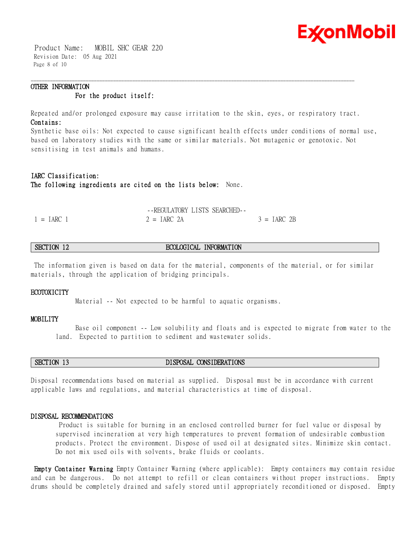

 Product Name: MOBIL SHC GEAR 220 Revision Date: 05 Aug 2021 Page 8 of 10

# **OTHER INFORMATION For the product itself:**

Repeated and/or prolonged exposure may cause irritation to the skin, eyes, or respiratory tract. **Contains:**

\_\_\_\_\_\_\_\_\_\_\_\_\_\_\_\_\_\_\_\_\_\_\_\_\_\_\_\_\_\_\_\_\_\_\_\_\_\_\_\_\_\_\_\_\_\_\_\_\_\_\_\_\_\_\_\_\_\_\_\_\_\_\_\_\_\_\_\_\_\_\_\_\_\_\_\_\_\_\_\_\_\_\_\_\_\_\_\_\_\_\_\_\_\_\_\_\_\_\_\_\_\_\_\_\_\_\_\_\_\_\_\_\_\_\_\_\_\_

Synthetic base oils: Not expected to cause significant health effects under conditions of normal use, based on laboratory studies with the same or similar materials. Not mutagenic or genotoxic. Not sensitising in test animals and humans.

# **IARC Classification: The following ingredients are cited on the lists below:** None.

|              | --REGULATORY LISTS SEARCHED-- |               |
|--------------|-------------------------------|---------------|
| $1 = IARC$ 1 | $2 = IARC$ 2A                 | $3 = IARC$ 2B |

# **SECTION 12 ECOLOGICAL INFORMATION**

The information given is based on data for the material, components of the material, or for similar materials, through the application of bridging principals.

#### **ECOTOXICITY**

Material -- Not expected to be harmful to aquatic organisms.

#### **MOBILITY**

 Base oil component -- Low solubility and floats and is expected to migrate from water to the land. Expected to partition to sediment and wastewater solids.

## **SECTION 13 DISPOSAL CONSIDERATIONS**

Disposal recommendations based on material as supplied. Disposal must be in accordance with current applicable laws and regulations, and material characteristics at time of disposal.

### **DISPOSAL RECOMMENDATIONS**

Product is suitable for burning in an enclosed controlled burner for fuel value or disposal by supervised incineration at very high temperatures to prevent formation of undesirable combustion products. Protect the environment. Dispose of used oil at designated sites. Minimize skin contact. Do not mix used oils with solvents, brake fluids or coolants.

**Empty Container Warning** Empty Container Warning (where applicable): Empty containers may contain residue and can be dangerous. Do not attempt to refill or clean containers without proper instructions. Empty drums should be completely drained and safely stored until appropriately reconditioned or disposed. Empty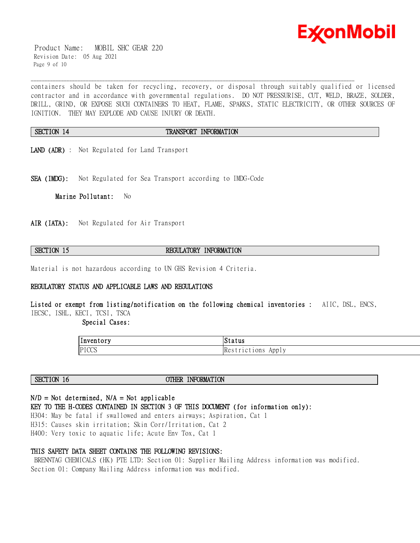

 Product Name: MOBIL SHC GEAR 220 Revision Date: 05 Aug 2021 Page 9 of 10

containers should be taken for recycling, recovery, or disposal through suitably qualified or licensed contractor and in accordance with governmental regulations. DO NOT PRESSURISE, CUT, WELD, BRAZE, SOLDER, DRILL, GRIND, OR EXPOSE SUCH CONTAINERS TO HEAT, FLAME, SPARKS, STATIC ELECTRICITY, OR OTHER SOURCES OF IGNITION. THEY MAY EXPLODE AND CAUSE INJURY OR DEATH.

# **SECTION 14 TRANSPORT INFORMATION**

\_\_\_\_\_\_\_\_\_\_\_\_\_\_\_\_\_\_\_\_\_\_\_\_\_\_\_\_\_\_\_\_\_\_\_\_\_\_\_\_\_\_\_\_\_\_\_\_\_\_\_\_\_\_\_\_\_\_\_\_\_\_\_\_\_\_\_\_\_\_\_\_\_\_\_\_\_\_\_\_\_\_\_\_\_\_\_\_\_\_\_\_\_\_\_\_\_\_\_\_\_\_\_\_\_\_\_\_\_\_\_\_\_\_\_\_\_\_

- **LAND (ADR)** : Not Regulated for Land Transport
- **SEA (IMDG):** Not Regulated for Sea Transport according to IMDG-Code

**Marine Pollutant:** No

**AIR (IATA):** Not Regulated for Air Transport

# **SECTION 15 REGULATORY INFORMATION**

Material is not hazardous according to UN GHS Revision 4 Criteria.

# **REGULATORY STATUS AND APPLICABLE LAWS AND REGULATIONS**

**Listed or exempt from listing/notification on the following chemical inventories :** AIIC, DSL, ENCS, IECSC, ISHL, KECI, TCSI, TSCA

 **Special Cases:** 

| . .<br> Inventory | Status                              |
|-------------------|-------------------------------------|
| PICCS             | Re <sub>o</sub><br>1Ct10ns<br>App I |

**SECTION 16 OTHER INFORMATION** 

# **N/D = Not determined, N/A = Not applicable**

**KEY TO THE H-CODES CONTAINED IN SECTION 3 OF THIS DOCUMENT (for information only):**

H304: May be fatal if swallowed and enters airways; Aspiration, Cat 1 H315: Causes skin irritation; Skin Corr/Irritation, Cat 2 H400: Very toxic to aquatic life; Acute Env Tox, Cat 1

## **THIS SAFETY DATA SHEET CONTAINS THE FOLLOWING REVISIONS:**

BRENNTAG CHEMICALS (HK) PTE LTD: Section 01: Supplier Mailing Address information was modified. Section 01: Company Mailing Address information was modified.